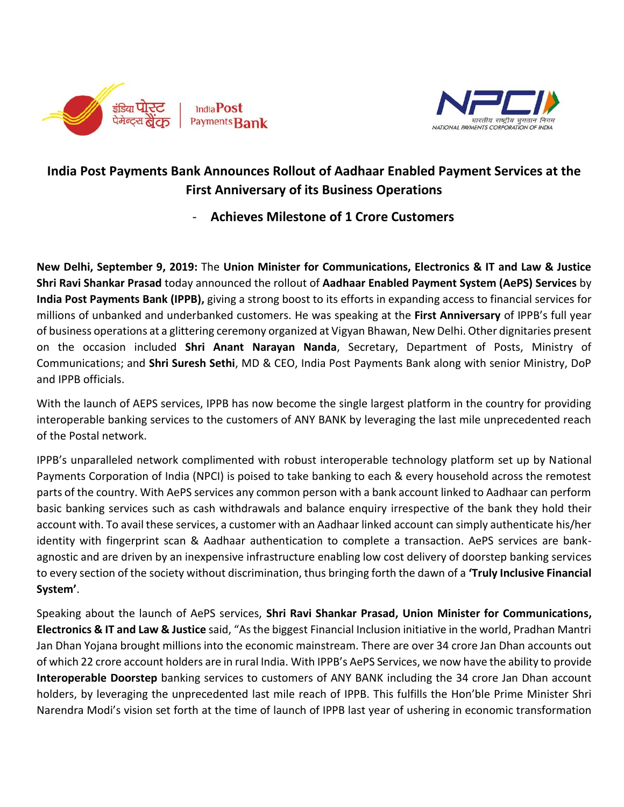



## **India Post Payments Bank Announces Rollout of Aadhaar Enabled Payment Services at the First Anniversary of its Business Operations**

- **Achieves Milestone of 1 Crore Customers**

**New Delhi, September 9, 2019:** The **Union Minister for Communications, Electronics & IT and Law & Justice Shri Ravi Shankar Prasad** today announced the rollout of **Aadhaar Enabled Payment System (AePS) Services** by **India Post Payments Bank (IPPB),** giving a strong boost to its efforts in expanding access to financial services for millions of unbanked and underbanked customers. He was speaking at the **First Anniversary** of IPPB's full year of business operations at a glittering ceremony organized at Vigyan Bhawan, New Delhi. Other dignitaries present on the occasion included **Shri Anant Narayan Nanda**, Secretary, Department of Posts, Ministry of Communications; and **Shri Suresh Sethi**, MD & CEO, India Post Payments Bank along with senior Ministry, DoP and IPPB officials.

With the launch of AEPS services, IPPB has now become the single largest platform in the country for providing interoperable banking services to the customers of ANY BANK by leveraging the last mile unprecedented reach of the Postal network.

IPPB's unparalleled network complimented with robust interoperable technology platform set up by National Payments Corporation of India (NPCI) is poised to take banking to each & every household across the remotest parts of the country. With AePS services any common person with a bank account linked to Aadhaar can perform basic banking services such as cash withdrawals and balance enquiry irrespective of the bank they hold their account with. To avail these services, a customer with an Aadhaar linked account can simply authenticate his/her identity with fingerprint scan & Aadhaar authentication to complete a transaction. AePS services are bankagnostic and are driven by an inexpensive infrastructure enabling low cost delivery of doorstep banking services to every section of the society without discrimination, thus bringing forth the dawn of a **'Truly Inclusive Financial System'**.

Speaking about the launch of AePS services, **Shri Ravi Shankar Prasad, Union Minister for Communications, Electronics & IT and Law & Justice** said, "As the biggest Financial Inclusion initiative in the world, Pradhan Mantri Jan Dhan Yojana brought millions into the economic mainstream. There are over 34 crore Jan Dhan accounts out of which 22 crore account holders are in rural India. With IPPB's AePS Services, we now have the ability to provide **Interoperable Doorstep** banking services to customers of ANY BANK including the 34 crore Jan Dhan account holders, by leveraging the unprecedented last mile reach of IPPB. This fulfills the Hon'ble Prime Minister Shri Narendra Modi's vision set forth at the time of launch of IPPB last year of ushering in economic transformation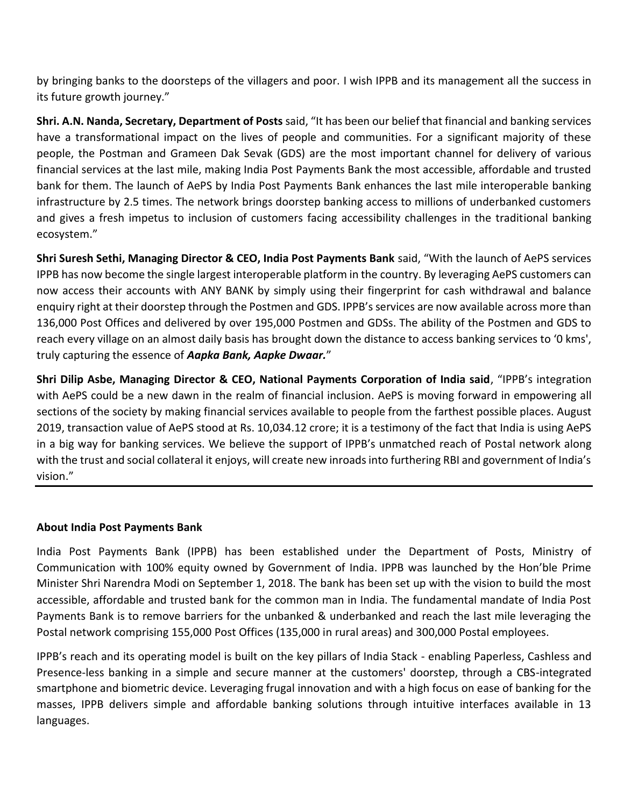by bringing banks to the doorsteps of the villagers and poor. I wish IPPB and its management all the success in its future growth journey."

**Shri. A.N. Nanda, Secretary, Department of Posts** said, "It has been our belief that financial and banking services have a transformational impact on the lives of people and communities. For a significant majority of these people, the Postman and Grameen Dak Sevak (GDS) are the most important channel for delivery of various financial services at the last mile, making India Post Payments Bank the most accessible, affordable and trusted bank for them. The launch of AePS by India Post Payments Bank enhances the last mile interoperable banking infrastructure by 2.5 times. The network brings doorstep banking access to millions of underbanked customers and gives a fresh impetus to inclusion of customers facing accessibility challenges in the traditional banking ecosystem."

**Shri Suresh Sethi, Managing Director & CEO, India Post Payments Bank** said, "With the launch of AePS services IPPB has now become the single largest interoperable platform in the country. By leveraging AePS customers can now access their accounts with ANY BANK by simply using their fingerprint for cash withdrawal and balance enquiry right at their doorstep through the Postmen and GDS. IPPB's services are now available across more than 136,000 Post Offices and delivered by over 195,000 Postmen and GDSs. The ability of the Postmen and GDS to reach every village on an almost daily basis has brought down the distance to access banking services to '0 kms', truly capturing the essence of *Aapka Bank, Aapke Dwaar.*"

**Shri Dilip Asbe, Managing Director & CEO, National Payments Corporation of India said**, "IPPB's integration with AePS could be a new dawn in the realm of financial inclusion. AePS is moving forward in empowering all sections of the society by making financial services available to people from the farthest possible places. August 2019, transaction value of AePS stood at Rs. 10,034.12 crore; it is a testimony of the fact that India is using AePS in a big way for banking services. We believe the support of IPPB's unmatched reach of Postal network along with the trust and social collateral it enjoys, will create new inroads into furthering RBI and government of India's vision."

## **About India Post Payments Bank**

India Post Payments Bank (IPPB) has been established under the Department of Posts, Ministry of Communication with 100% equity owned by Government of India. IPPB was launched by the Hon'ble Prime Minister Shri Narendra Modi on September 1, 2018. The bank has been set up with the vision to build the most accessible, affordable and trusted bank for the common man in India. The fundamental mandate of India Post Payments Bank is to remove barriers for the unbanked & underbanked and reach the last mile leveraging the Postal network comprising 155,000 Post Offices (135,000 in rural areas) and 300,000 Postal employees.

IPPB's reach and its operating model is built on the key pillars of India Stack - enabling Paperless, Cashless and Presence-less banking in a simple and secure manner at the customers' doorstep, through a CBS-integrated smartphone and biometric device. Leveraging frugal innovation and with a high focus on ease of banking for the masses, IPPB delivers simple and affordable banking solutions through intuitive interfaces available in 13 languages.